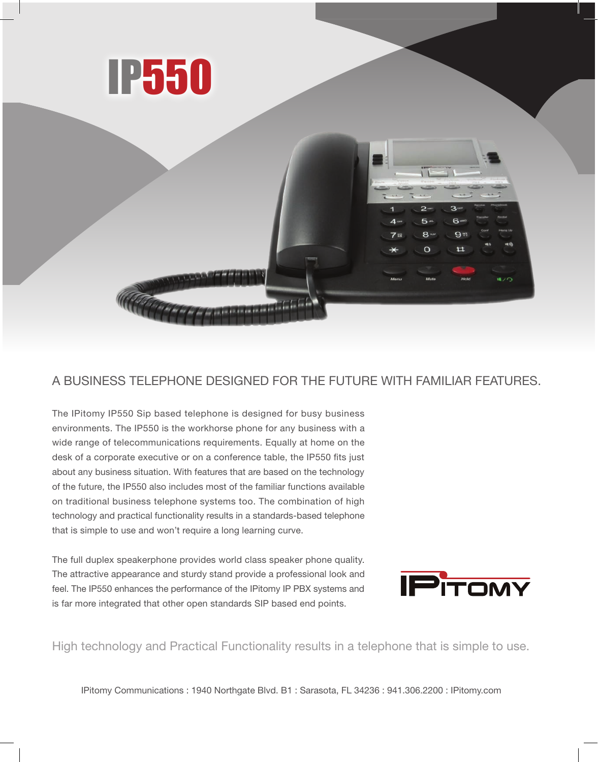



## A BUSINESS TELEPHONE DESIGNED FOR THE FUTURE WITH FAMILIAR FEATURES.

The IPitomy IP550 Sip based telephone is designed for busy business environments. The IP550 is the workhorse phone for any business with a wide range of telecommunications requirements. Equally at home on the desk of a corporate executive or on a conference table, the IP550 fits just about any business situation. With features that are based on the technology of the future, the IP550 also includes most of the familiar functions available on traditional business telephone systems too. The combination of high technology and practical functionality results in a standards-based telephone that is simple to use and won't require a long learning curve.

The full duplex speakerphone provides world class speaker phone quality. The attractive appearance and sturdy stand provide a professional look and feel. The IP550 enhances the performance of the IPitomy IP PBX systems and is far more integrated that other open standards SIP based end points.



High technology and Practical Functionality results in a telephone that is simple to use.